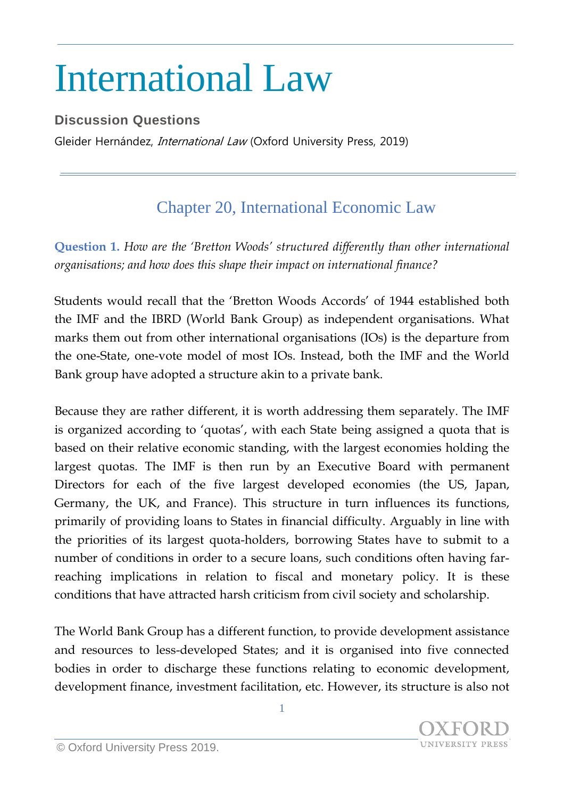## International Law

## **Discussion Questions**

Gleider Hernández, International Law (Oxford University Press, 2019)

## Chapter 20, International Economic Law

**Question 1.** *How are the 'Bretton Woods' structured differently than other international organisations; and how does this shape their impact on international finance?*

Students would recall that the 'Bretton Woods Accords' of 1944 established both the IMF and the IBRD (World Bank Group) as independent organisations. What marks them out from other international organisations (IOs) is the departure from the one-State, one-vote model of most IOs. Instead, both the IMF and the World Bank group have adopted a structure akin to a private bank.

Because they are rather different, it is worth addressing them separately. The IMF is organized according to 'quotas', with each State being assigned a quota that is based on their relative economic standing, with the largest economies holding the largest quotas. The IMF is then run by an Executive Board with permanent Directors for each of the five largest developed economies (the US, Japan, Germany, the UK, and France). This structure in turn influences its functions, primarily of providing loans to States in financial difficulty. Arguably in line with the priorities of its largest quota-holders, borrowing States have to submit to a number of conditions in order to a secure loans, such conditions often having farreaching implications in relation to fiscal and monetary policy. It is these conditions that have attracted harsh criticism from civil society and scholarship.

The World Bank Group has a different function, to provide development assistance and resources to less-developed States; and it is organised into five connected bodies in order to discharge these functions relating to economic development, development finance, investment facilitation, etc. However, its structure is also not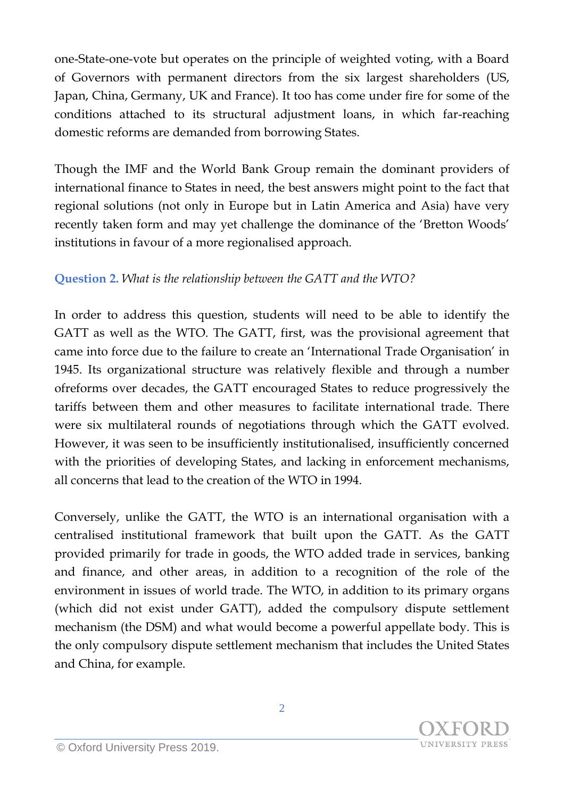one-State-one-vote but operates on the principle of weighted voting, with a Board of Governors with permanent directors from the six largest shareholders (US, Japan, China, Germany, UK and France). It too has come under fire for some of the conditions attached to its structural adjustment loans, in which far-reaching domestic reforms are demanded from borrowing States.

Though the IMF and the World Bank Group remain the dominant providers of international finance to States in need, the best answers might point to the fact that regional solutions (not only in Europe but in Latin America and Asia) have very recently taken form and may yet challenge the dominance of the 'Bretton Woods' institutions in favour of a more regionalised approach.

## **Question 2.** *What is the relationship between the GATT and the WTO?*

In order to address this question, students will need to be able to identify the GATT as well as the WTO. The GATT, first, was the provisional agreement that came into force due to the failure to create an 'International Trade Organisation' in 1945. Its organizational structure was relatively flexible and through a number ofreforms over decades, the GATT encouraged States to reduce progressively the tariffs between them and other measures to facilitate international trade. There were six multilateral rounds of negotiations through which the GATT evolved. However, it was seen to be insufficiently institutionalised, insufficiently concerned with the priorities of developing States, and lacking in enforcement mechanisms, all concerns that lead to the creation of the WTO in 1994.

Conversely, unlike the GATT, the WTO is an international organisation with a centralised institutional framework that built upon the GATT. As the GATT provided primarily for trade in goods, the WTO added trade in services, banking and finance, and other areas, in addition to a recognition of the role of the environment in issues of world trade. The WTO, in addition to its primary organs (which did not exist under GATT), added the compulsory dispute settlement mechanism (the DSM) and what would become a powerful appellate body. This is the only compulsory dispute settlement mechanism that includes the United States and China, for example.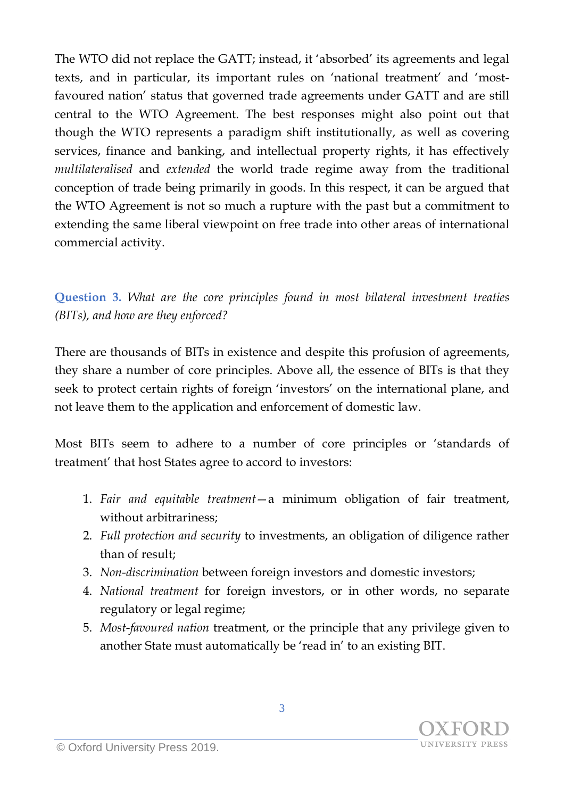The WTO did not replace the GATT; instead, it 'absorbed' its agreements and legal texts, and in particular, its important rules on 'national treatment' and 'mostfavoured nation' status that governed trade agreements under GATT and are still central to the WTO Agreement. The best responses might also point out that though the WTO represents a paradigm shift institutionally, as well as covering services, finance and banking, and intellectual property rights, it has effectively *multilateralised* and *extended* the world trade regime away from the traditional conception of trade being primarily in goods. In this respect, it can be argued that the WTO Agreement is not so much a rupture with the past but a commitment to extending the same liberal viewpoint on free trade into other areas of international commercial activity.

**Question 3.** *What are the core principles found in most bilateral investment treaties (BITs), and how are they enforced?*

There are thousands of BITs in existence and despite this profusion of agreements, they share a number of core principles. Above all, the essence of BITs is that they seek to protect certain rights of foreign 'investors' on the international plane, and not leave them to the application and enforcement of domestic law.

Most BITs seem to adhere to a number of core principles or 'standards of treatment' that host States agree to accord to investors:

- 1. *Fair and equitable treatment*—a minimum obligation of fair treatment, without arbitrariness;
- 2. *Full protection and security* to investments, an obligation of diligence rather than of result;
- 3. *Non-discrimination* between foreign investors and domestic investors;
- 4. *National treatment* for foreign investors, or in other words, no separate regulatory or legal regime;
- 5. *Most-favoured nation* treatment, or the principle that any privilege given to another State must automatically be 'read in' to an existing BIT.